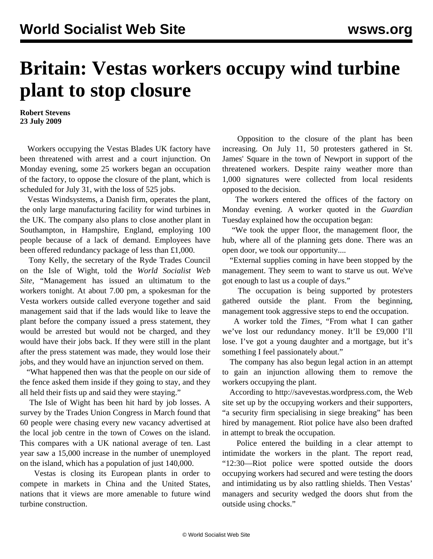## **Britain: Vestas workers occupy wind turbine plant to stop closure**

**Robert Stevens 23 July 2009**

 Workers occupying the Vestas Blades UK factory have been threatened with arrest and a court injunction. On Monday evening, some 25 workers began an occupation of the factory, to oppose the closure of the plant, which is scheduled for July 31, with the loss of 525 jobs.

 Vestas Windsystems, a Danish firm, operates the plant, the only large manufacturing facility for wind turbines in the UK. The company also plans to close another plant in Southampton, in Hampshire, England, employing 100 people because of a lack of demand. Employees have been offered redundancy package of less than £1,000.

 Tony Kelly, the secretary of the Ryde Trades Council on the Isle of Wight, told the *World Socialist Web Site,* "Management has issued an ultimatum to the workers tonight. At about 7.00 pm, a spokesman for the Vesta workers outside called everyone together and said management said that if the lads would like to leave the plant before the company issued a press statement, they would be arrested but would not be charged, and they would have their jobs back. If they were still in the plant after the press statement was made, they would lose their jobs, and they would have an injunction served on them.

 "What happened then was that the people on our side of the fence asked them inside if they going to stay, and they all held their fists up and said they were staying."

 The Isle of Wight has been hit hard by job losses. A survey by the Trades Union Congress in March found that 60 people were chasing every new vacancy advertised at the local job centre in the town of Cowes on the island. This compares with a UK national average of ten. Last year saw a 15,000 increase in the number of unemployed on the island, which has a population of just 140,000.

 Vestas is closing its European plants in order to compete in markets in China and the United States, nations that it views are more amenable to future wind turbine construction.

 Opposition to the closure of the plant has been increasing. On July 11, 50 protesters gathered in St. James' Square in the town of Newport in support of the threatened workers. Despite rainy weather more than 1,000 signatures were collected from local residents opposed to the decision.

 The workers entered the offices of the factory on Monday evening. A worker quoted in the *Guardian* Tuesday explained how the occupation began:

 "We took the upper floor, the management floor, the hub, where all of the planning gets done. There was an open door, we took our opportunity....

 "External supplies coming in have been stopped by the management. They seem to want to starve us out. We've got enough to last us a couple of days."

 The occupation is being supported by protesters gathered outside the plant. From the beginning, management took aggressive steps to end the occupation.

 A worker told the *Times,* "From what I can gather we've lost our redundancy money. It'll be £9,000 I'll lose. I've got a young daughter and a mortgage, but it's something I feel passionately about."

 The company has also begun legal action in an attempt to gain an injunction allowing them to remove the workers occupying the plant.

 According to <http://savevestas.wordpress.com>, the Web site set up by the occupying workers and their supporters, "a security firm specialising in siege breaking" has been hired by management. Riot police have also been drafted in attempt to break the occupation.

 Police entered the building in a clear attempt to intimidate the workers in the plant. The report read, "12:30—Riot police were spotted outside the doors occupying workers had secured and were testing the doors and intimidating us by also rattling shields. Then Vestas' managers and security wedged the doors shut from the outside using chocks."